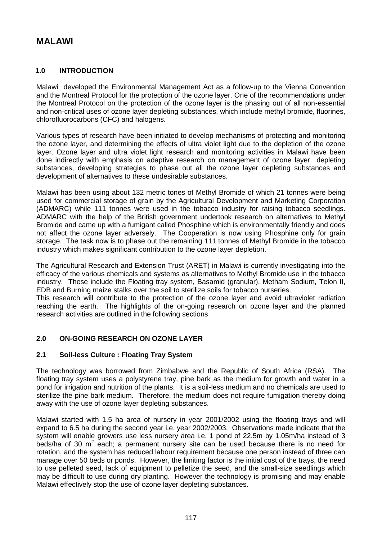# **MALAWI**

## **1.0 INTRODUCTION**

Malawi developed the Environmental Management Act as a follow-up to the Vienna Convention and the Montreal Protocol for the protection of the ozone layer. One of the recommendations under the Montreal Protocol on the protection of the ozone layer is the phasing out of all non-essential and non-critical uses of ozone layer depleting substances, which include methyl bromide, fluorines, chlorofluorocarbons (CFC) and halogens.

Various types of research have been initiated to develop mechanisms of protecting and monitoring the ozone layer, and determining the effects of ultra violet light due to the depletion of the ozone layer. Ozone layer and ultra violet light research and monitoring activities in Malawi have been done indirectly with emphasis on adaptive research on management of ozone layer depleting substances, developing strategies to phase out all the ozone layer depleting substances and development of alternatives to these undesirable substances.

Malawi has been using about 132 metric tones of Methyl Bromide of which 21 tonnes were being used for commercial storage of grain by the Agricultural Development and Marketing Corporation (ADMARC) while 111 tonnes were used in the tobacco industry for raising tobacco seedlings. ADMARC with the help of the British government undertook research on alternatives to Methyl Bromide and came up with a fumigant called Phosphine which is environmentally friendly and does not affect the ozone layer adversely. The Cooperation is now using Phosphine only for grain storage. The task now is to phase out the remaining 111 tonnes of Methyl Bromide in the tobacco industry which makes significant contribution to the ozone layer depletion.

The Agricultural Research and Extension Trust (ARET) in Malawi is currently investigating into the efficacy of the various chemicals and systems as alternatives to Methyl Bromide use in the tobacco industry. These include the Floating tray system, Basamid (granular), Metham Sodium, Telon II, EDB and Burning maize stalks over the soil to sterilize soils for tobacco nurseries.

This research will contribute to the protection of the ozone layer and avoid ultraviolet radiation reaching the earth. The highlights of the on-going research on ozone layer and the planned research activities are outlined in the following sections

# **2.0 ON-GOING RESEARCH ON OZONE LAYER**

### **2.1 Soil-less Culture : Floating Tray System**

The technology was borrowed from Zimbabwe and the Republic of South Africa (RSA). The floating tray system uses a polystyrene tray, pine bark as the medium for growth and water in a pond for irrigation and nutrition of the plants. It is a soil-less medium and no chemicals are used to sterilize the pine bark medium. Therefore, the medium does not require fumigation thereby doing away with the use of ozone layer depleting substances.

Malawi started with 1.5 ha area of nursery in year 2001/2002 using the floating trays and will expand to 6.5 ha during the second year i.e. year 2002/2003. Observations made indicate that the system will enable growers use less nursery area i.e. 1 pond of 22.5m by 1.05m/ha instead of 3 beds/ha of 30  $m^2$  each; a permanent nursery site can be used because there is no need for rotation, and the system has reduced labour requirement because one person instead of three can manage over 50 beds or ponds. However, the limiting factor is the initial cost of the trays, the need to use pelleted seed, lack of equipment to pelletize the seed, and the small-size seedlings which may be difficult to use during dry planting. However the technology is promising and may enable Malawi effectively stop the use of ozone layer depleting substances.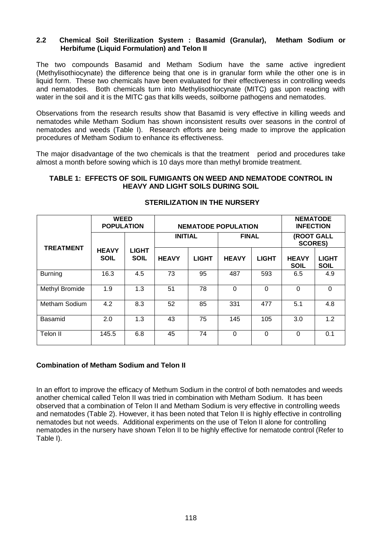### **2.2 Chemical Soil Sterilization System : Basamid (Granular), Metham Sodium or Herbifume (Liquid Formulation) and Telon II**

The two compounds Basamid and Metham Sodium have the same active ingredient (Methylisothiocynate) the difference being that one is in granular form while the other one is in liquid form. These two chemicals have been evaluated for their effectiveness in controlling weeds and nematodes. Both chemicals turn into Methylisothiocynate (MITC) gas upon reacting with water in the soil and it is the MITC gas that kills weeds, soilborne pathogens and nematodes.

Observations from the research results show that Basamid is very effective in killing weeds and nematodes while Metham Sodium has shown inconsistent results over seasons in the control of nematodes and weeds (Table I). Research efforts are being made to improve the application procedures of Metham Sodium to enhance its effectiveness.

The major disadvantage of the two chemicals is that the treatment period and procedures take almost a month before sowing which is 10 days more than methyl bromide treatment.

#### **TABLE 1: EFFECTS OF SOIL FUMIGANTS ON WEED AND NEMATODE CONTROL IN HEAVY AND LIGHT SOILS DURING SOIL**

|                  | <b>WEED</b><br><b>POPULATION</b> |                             | <b>NEMATODE POPULATION</b> |              |              |              | <b>NEMATODE</b><br><b>INFECTION</b> |                             |
|------------------|----------------------------------|-----------------------------|----------------------------|--------------|--------------|--------------|-------------------------------------|-----------------------------|
|                  |                                  |                             | <b>INITIAL</b>             |              | <b>FINAL</b> |              | (ROOT GALL<br><b>SCORES)</b>        |                             |
| <b>TREATMENT</b> | <b>HEAVY</b><br><b>SOIL</b>      | <b>LIGHT</b><br><b>SOIL</b> | <b>HEAVY</b>               | <b>LIGHT</b> | <b>HEAVY</b> | <b>LIGHT</b> | <b>HEAVY</b><br><b>SOIL</b>         | <b>LIGHT</b><br><b>SOIL</b> |
| <b>Burning</b>   | 16.3                             | 4.5                         | 73                         | 95           | 487          | 593          | 6.5                                 | 4.9                         |
| Methyl Bromide   | 1.9                              | 1.3                         | 51                         | 78           | $\Omega$     | 0            | $\Omega$                            | $\Omega$                    |
| Metham Sodium    | 4.2                              | 8.3                         | 52                         | 85           | 331          | 477          | 5.1                                 | 4.8                         |
| Basamid          | 2.0                              | 1.3                         | 43                         | 75           | 145          | 105          | 3.0                                 | 1.2                         |
| Telon II         | 145.5                            | 6.8                         | 45                         | 74           | $\Omega$     | 0            | $\Omega$                            | 0.1                         |

## **STERILIZATION IN THE NURSERY**

### **Combination of Metham Sodium and Telon II**

In an effort to improve the efficacy of Methum Sodium in the control of both nematodes and weeds another chemical called Telon II was tried in combination with Metham Sodium. It has been observed that a combination of Telon II and Metham Sodium is very effective in controlling weeds and nematodes (Table 2). However, it has been noted that Telon II is highly effective in controlling nematodes but not weeds. Additional experiments on the use of Telon II alone for controlling nematodes in the nursery have shown Telon II to be highly effective for nematode control (Refer to Table I).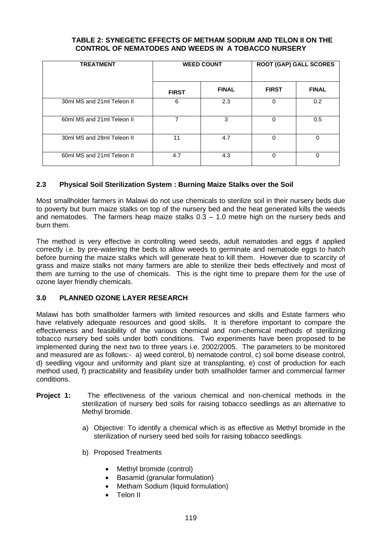## **TABLE 2: SYNEGETIC EFFECTS OF METHAM SODIUM AND TELON II ON THE CONTROL OF NEMATODES AND WEEDS IN A TOBACCO NURSERY**

| <b>TREATMENT</b>           |              | <b>WEED COUNT</b> | <b>ROOT (GAP) GALL SCORES</b> |              |  |
|----------------------------|--------------|-------------------|-------------------------------|--------------|--|
|                            | <b>FIRST</b> | <b>FINAL</b>      | <b>FIRST</b>                  | <b>FINAL</b> |  |
| 30ml MS and 21ml Teleon II | 6            | 2.3               | 0                             | 0.2          |  |
| 60ml MS and 21ml Teleon II |              | 3                 | 0                             | 0.5          |  |
| 30ml MS and 28ml Teleon II | 11           | 4.7               | 0                             | 0            |  |
| 60ml MS and 21ml Teleon II | 4.7          | 4.3               | 0                             | 0            |  |

# **2.3 Physical Soil Sterilization System : Burning Maize Stalks over the Soil**

Most smallholder farmers in Malawi do not use chemicals to sterilize soil in their nursery beds due to poverty but burn maize stalks on top of the nursery bed and the heat generated kills the weeds and nematodes. The farmers heap maize stalks  $0.3 - 1.0$  metre high on the nursery beds and burn them.

The method is very effective in controlling weed seeds, adult nematodes and eggs if applied correctly i.e. by pre-watering the beds to allow weeds to germinate and nematode eggs to hatch before burning the maize stalks which will generate heat to kill them. However due to scarcity of grass and maize stalks not many farmers are able to sterilize their beds effectively and most of them are turning to the use of chemicals. This is the right time to prepare them for the use of ozone layer friendly chemicals.

# **3.0 PLANNED OZONE LAYER RESEARCH**

Malawi has both smallholder farmers with limited resources and skills and Estate farmers who have relatively adequate resources and good skills. It is therefore important to compare the effectiveness and feasibility of the various chemical and non-chemical methods of sterilizing tobacco nursery bed soils under both conditions. Two experiments have been proposed to be implemented during the next two to three years i.e. 2002/2005. The parameters to be monitored and measured are as follows:- a) weed control, b) nematode control, c) soil borne disease control, d) seedling vigour and uniformity and plant size at transplanting, e) cost of production for each method used, f) practicability and feasibility under both smallholder farmer and commercial farmer conditions.

- **Project 1:** The effectiveness of the various chemical and non-chemical methods in the sterilization of nursery bed soils for raising tobacco seedlings as an alternative to Methyl bromide.
	- a) Objective: To identify a chemical which is as effective as Methyl bromide in the sterilization of nursery seed bed soils for raising tobacco seedlings.
	- b) Proposed Treatments
		- Methyl bromide (control)
		- Basamid (granular formulation)
		- Metham Sodium (liquid formulation)
		- Telon II